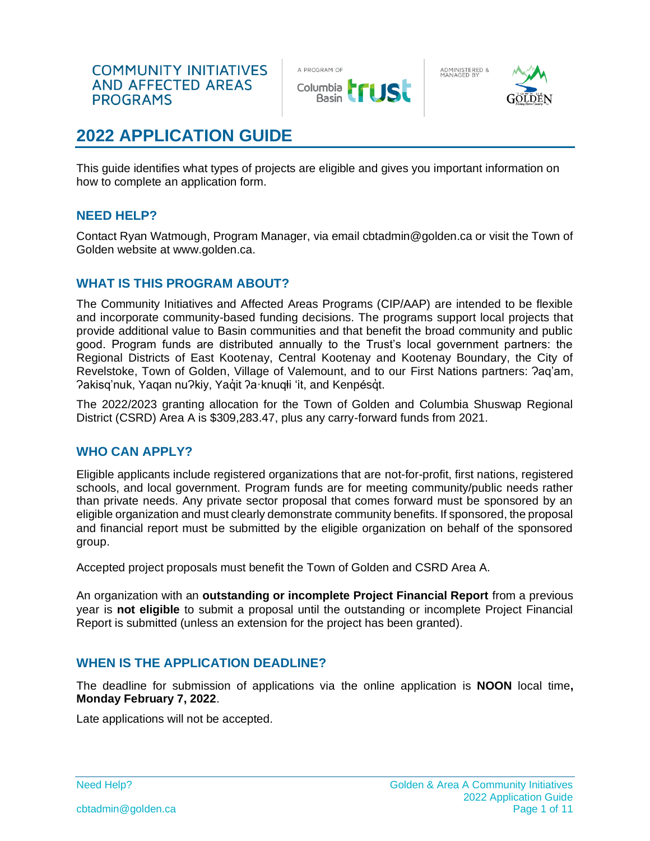

ADMINISTERED &<br>MANAGED BY



# **2022 APPLICATION GUIDE**

This guide identifies what types of projects are eligible and gives you important information on how to complete an application form.

# **NEED HELP?**

Contact Ryan Watmough, Program Manager, via email cbtadmin@golden.ca or visit the Town of Golden website at www.golden.ca.

### **WHAT IS THIS PROGRAM ABOUT?**

The Community Initiatives and Affected Areas Programs (CIP/AAP) are intended to be flexible and incorporate community-based funding decisions. The programs support local projects that provide additional value to Basin communities and that benefit the broad community and public good. Program funds are distributed annually to the Trust's local government partners: the Regional Districts of East Kootenay, Central Kootenay and Kootenay Boundary, the City of Revelstoke, Town of Golden, Village of Valemount, and to our First Nations partners: ?ag'am, Pakisg'nuk, Yaqan nu?kiy, Yaqıt ?a·knuqłi 'it, and Kenpésqt.

The 2022/2023 granting allocation for the Town of Golden and Columbia Shuswap Regional District (CSRD) Area A is \$309,283.47, plus any carry-forward funds from 2021.

### **WHO CAN APPLY?**

Eligible applicants include registered organizations that are not-for-profit, first nations, registered schools, and local government. Program funds are for meeting community/public needs rather than private needs. Any private sector proposal that comes forward must be sponsored by an eligible organization and must clearly demonstrate community benefits. If sponsored, the proposal and financial report must be submitted by the eligible organization on behalf of the sponsored group.

Accepted project proposals must benefit the Town of Golden and CSRD Area A.

An organization with an **outstanding or incomplete Project Financial Report** from a previous year is **not eligible** to submit a proposal until the outstanding or incomplete Project Financial Report is submitted (unless an extension for the project has been granted).

# **WHEN IS THE APPLICATION DEADLINE?**

The deadline for submission of applications via the online application is **NOON** local time**, Monday February 7, 2022**.

Late applications will not be accepted.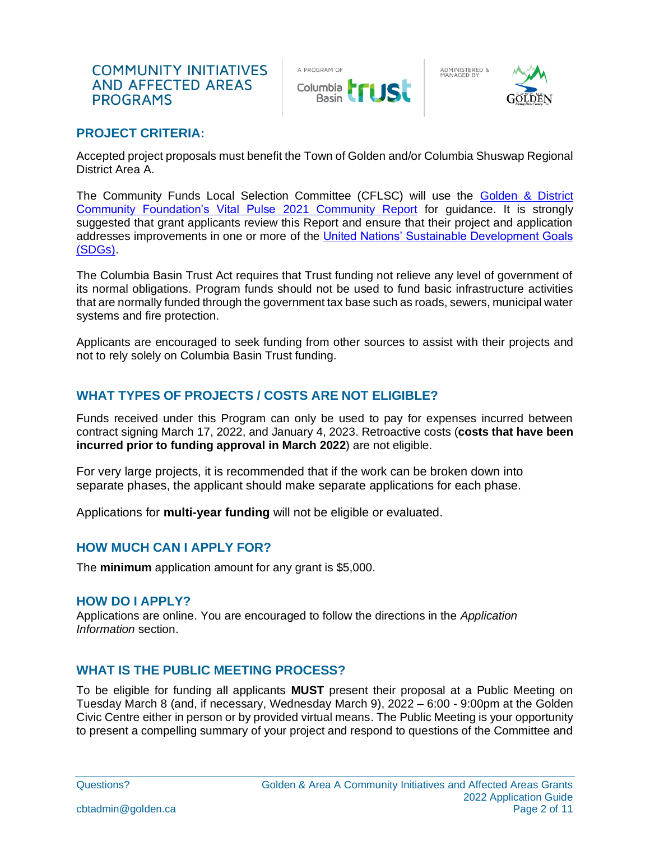

ADMINISTERED &<br>MANAGED BY



## **PROJECT CRITERIA:**

Accepted project proposals must benefit the Town of Golden and/or Columbia Shuswap Regional District Area A.

The Community Funds Local Selection Committee (CFLSC) will use the [Golden & District](https://www.goldencommunityfoundation.ca/vital-pulse)  [Community Foundation's Vital Pulse](https://www.goldencommunityfoundation.ca/vital-pulse) 2021 Community Report for guidance. It is strongly suggested that grant applicants review this Report and ensure that their project and application addresses improvements in one or more of the [United Nations' Sustainable Development Goals](https://www.undp.org/sustainable-development-goals)  [\(SDGs\).](https://www.undp.org/sustainable-development-goals)

The Columbia Basin Trust Act requires that Trust funding not relieve any level of government of its normal obligations. Program funds should not be used to fund basic infrastructure activities that are normally funded through the government tax base such as roads, sewers, municipal water systems and fire protection.

Applicants are encouraged to seek funding from other sources to assist with their projects and not to rely solely on Columbia Basin Trust funding.

# **WHAT TYPES OF PROJECTS / COSTS ARE NOT ELIGIBLE?**

Funds received under this Program can only be used to pay for expenses incurred between contract signing March 17, 2022, and January 4, 2023. Retroactive costs (**costs that have been incurred prior to funding approval in March 2022**) are not eligible.

For very large projects, it is recommended that if the work can be broken down into separate phases, the applicant should make separate applications for each phase.

Applications for **multi-year funding** will not be eligible or evaluated.

### **HOW MUCH CAN I APPLY FOR?**

The **minimum** application amount for any grant is \$5,000.

#### **HOW DO I APPLY?**

Applications are online. You are encouraged to follow the directions in the *Application Information* section.

### **WHAT IS THE PUBLIC MEETING PROCESS?**

To be eligible for funding all applicants **MUST** present their proposal at a Public Meeting on Tuesday March 8 (and, if necessary, Wednesday March 9), 2022 – 6:00 - 9:00pm at the Golden Civic Centre either in person or by provided virtual means. The Public Meeting is your opportunity to present a compelling summary of your project and respond to questions of the Committee and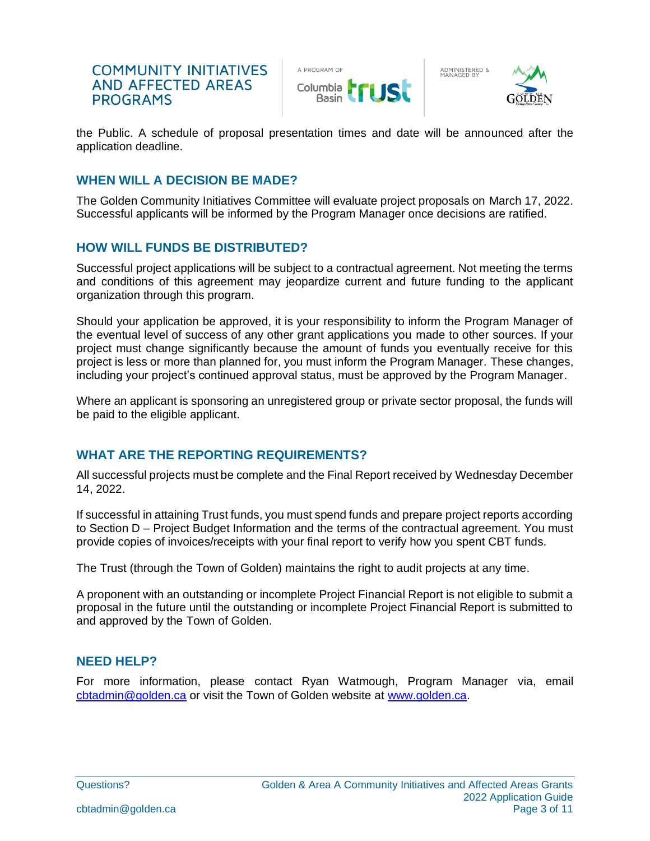

ADMINISTERED &<br>MANAGED BY



the Public. A schedule of proposal presentation times and date will be announced after the application deadline.

# **WHEN WILL A DECISION BE MADE?**

The Golden Community Initiatives Committee will evaluate project proposals on March 17, 2022. Successful applicants will be informed by the Program Manager once decisions are ratified.

# **HOW WILL FUNDS BE DISTRIBUTED?**

Successful project applications will be subject to a contractual agreement. Not meeting the terms and conditions of this agreement may jeopardize current and future funding to the applicant organization through this program.

Should your application be approved, it is your responsibility to inform the Program Manager of the eventual level of success of any other grant applications you made to other sources. If your project must change significantly because the amount of funds you eventually receive for this project is less or more than planned for, you must inform the Program Manager. These changes, including your project's continued approval status, must be approved by the Program Manager.

Where an applicant is sponsoring an unregistered group or private sector proposal, the funds will be paid to the eligible applicant.

# **WHAT ARE THE REPORTING REQUIREMENTS?**

All successful projects must be complete and the Final Report received by Wednesday December 14, 2022.

If successful in attaining Trust funds, you must spend funds and prepare project reports according to Section D – Project Budget Information and the terms of the contractual agreement. You must provide copies of invoices/receipts with your final report to verify how you spent CBT funds.

The Trust (through the Town of Golden) maintains the right to audit projects at any time.

A proponent with an outstanding or incomplete Project Financial Report is not eligible to submit a proposal in the future until the outstanding or incomplete Project Financial Report is submitted to and approved by the Town of Golden.

### **NEED HELP?**

For more information, please contact Ryan Watmough, Program Manager via, email [cbtadmin@golden.ca](mailto:cbtadmin@golden.ca) or visit the Town of Golden website at [www.golden.ca.](http://www.golden.ca/)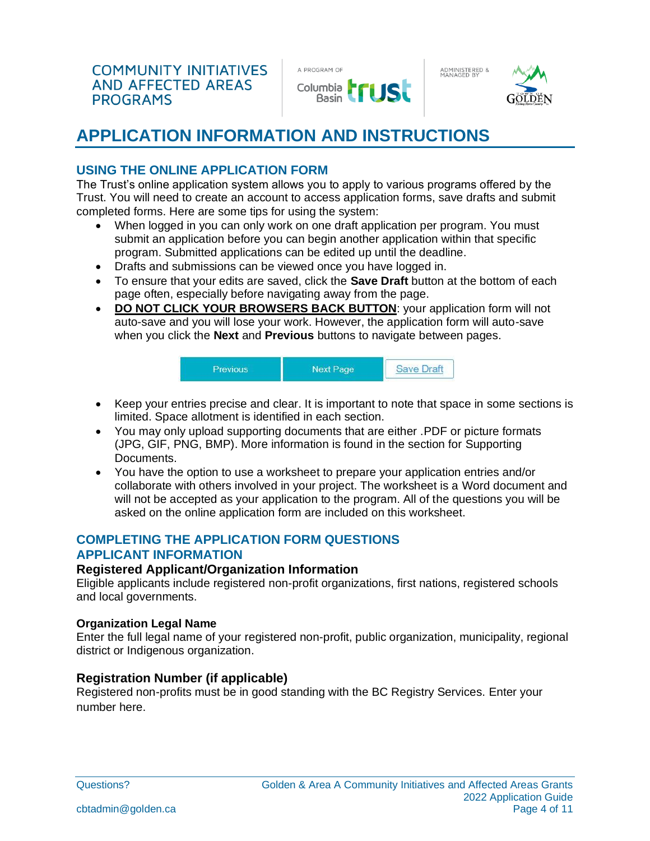

ADMINISTERED &<br>MANAGED BY



# **APPLICATION INFORMATION AND INSTRUCTIONS**

# **USING THE ONLINE APPLICATION FORM**

The Trust's online application system allows you to apply to various programs offered by the Trust. You will need to create an account to access application forms, save drafts and submit completed forms. Here are some tips for using the system:

- When logged in you can only work on one draft application per program. You must submit an application before you can begin another application within that specific program. Submitted applications can be edited up until the deadline.
- Drafts and submissions can be viewed once you have logged in.
- To ensure that your edits are saved, click the **Save Draft** button at the bottom of each page often, especially before navigating away from the page.
- **DO NOT CLICK YOUR BROWSERS BACK BUTTON**: your application form will not auto-save and you will lose your work. However, the application form will auto-save when you click the **Next** and **Previous** buttons to navigate between pages.



- Keep your entries precise and clear. It is important to note that space in some sections is limited. Space allotment is identified in each section.
- You may only upload supporting documents that are either .PDF or picture formats (JPG, GIF, PNG, BMP). More information is found in the section for Supporting Documents.
- You have the option to use a worksheet to prepare your application entries and/or collaborate with others involved in your project. The worksheet is a Word document and will not be accepted as your application to the program. All of the questions you will be asked on the online application form are included on this worksheet.

# **COMPLETING THE APPLICATION FORM QUESTIONS APPLICANT INFORMATION**

### **Registered Applicant/Organization Information**

Eligible applicants include registered non-profit organizations, first nations, registered schools and local governments.

#### **Organization Legal Name**

Enter the full legal name of your registered non-profit, public organization, municipality, regional district or Indigenous organization.

# **Registration Number (if applicable)**

Registered non-profits must be in good standing with the BC Registry Services. Enter your number here.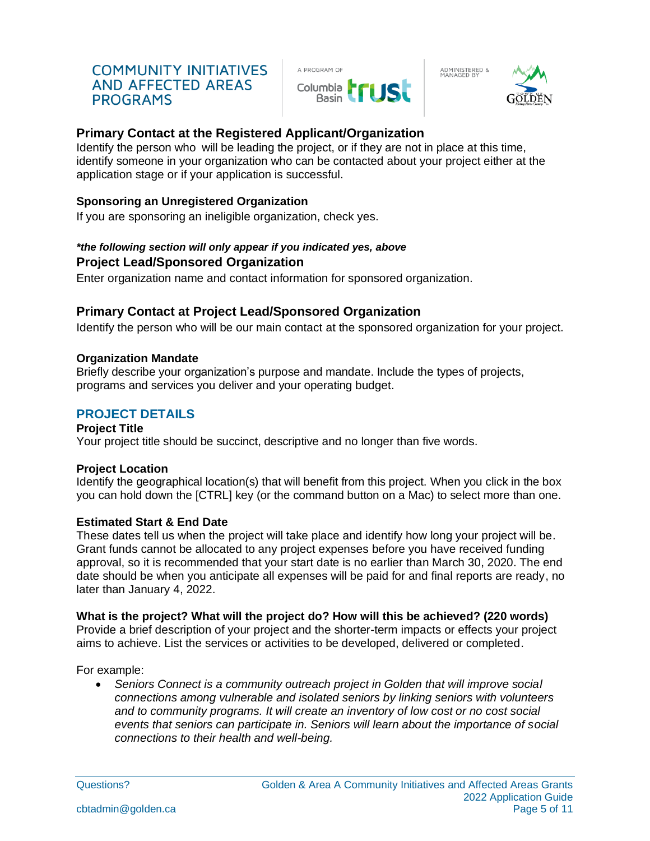

ADMINISTERED &<br>MANAGED BY



# **Primary Contact at the Registered Applicant/Organization**

Identify the person who will be leading the project, or if they are not in place at this time, identify someone in your organization who can be contacted about your project either at the application stage or if your application is successful.

## **Sponsoring an Unregistered Organization**

If you are sponsoring an ineligible organization, check yes.

### *\*the following section will only appear if you indicated yes, above* **Project Lead/Sponsored Organization**

Enter organization name and contact information for sponsored organization.

# **Primary Contact at Project Lead/Sponsored Organization**

Identify the person who will be our main contact at the sponsored organization for your project.

### **Organization Mandate**

Briefly describe your organization's purpose and mandate. Include the types of projects, programs and services you deliver and your operating budget.

# **PROJECT DETAILS**

### **Project Title**

Your project title should be succinct, descriptive and no longer than five words.

### **Project Location**

Identify the geographical location(s) that will benefit from this project. When you click in the box you can hold down the [CTRL] key (or the command button on a Mac) to select more than one.

### **Estimated Start & End Date**

These dates tell us when the project will take place and identify how long your project will be. Grant funds cannot be allocated to any project expenses before you have received funding approval, so it is recommended that your start date is no earlier than March 30, 2020. The end date should be when you anticipate all expenses will be paid for and final reports are ready, no later than January 4, 2022.

### **What is the project? What will the project do? How will this be achieved? (220 words)**

Provide a brief description of your project and the shorter-term impacts or effects your project aims to achieve. List the services or activities to be developed, delivered or completed.

For example:

• *Seniors Connect is a community outreach project in Golden that will improve social connections among vulnerable and isolated seniors by linking seniors with volunteers and to community programs. It will create an inventory of low cost or no cost social events that seniors can participate in. Seniors will learn about the importance of social connections to their health and well-being.*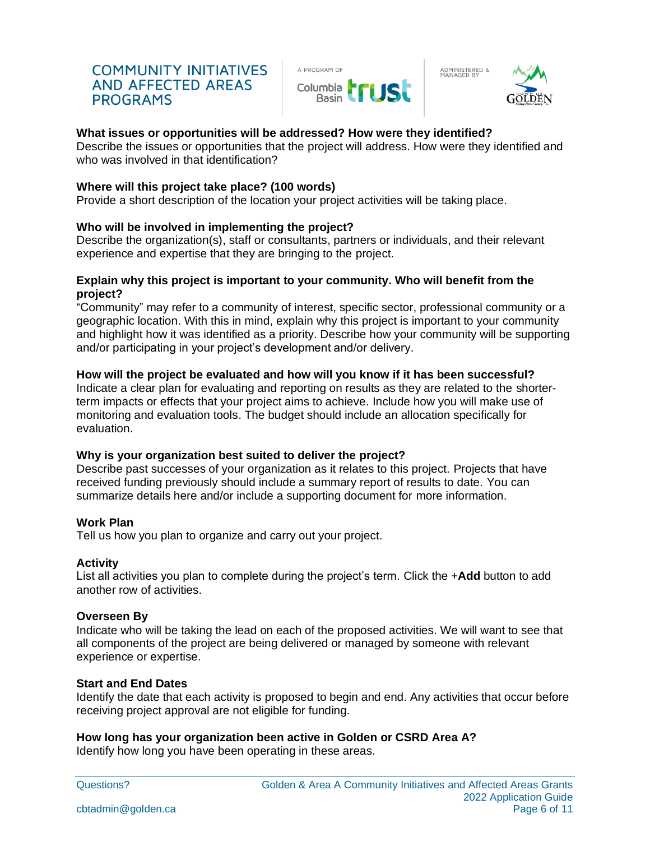

ADMINISTERED &<br>MANAGED BY



#### **What issues or opportunities will be addressed? How were they identified?**

Describe the issues or opportunities that the project will address. How were they identified and who was involved in that identification?

#### **Where will this project take place? (100 words)**

Provide a short description of the location your project activities will be taking place.

#### **Who will be involved in implementing the project?**

Describe the organization(s), staff or consultants, partners or individuals, and their relevant experience and expertise that they are bringing to the project.

#### **Explain why this project is important to your community. Who will benefit from the project?**

"Community" may refer to a community of interest, specific sector, professional community or a geographic location. With this in mind, explain why this project is important to your community and highlight how it was identified as a priority. Describe how your community will be supporting and/or participating in your project's development and/or delivery.

#### **How will the project be evaluated and how will you know if it has been successful?**

Indicate a clear plan for evaluating and reporting on results as they are related to the shorterterm impacts or effects that your project aims to achieve. Include how you will make use of monitoring and evaluation tools. The budget should include an allocation specifically for evaluation.

#### **Why is your organization best suited to deliver the project?**

Describe past successes of your organization as it relates to this project. Projects that have received funding previously should include a summary report of results to date. You can summarize details here and/or include a supporting document for more information.

### **Work Plan**

Tell us how you plan to organize and carry out your project.

#### **Activity**

List all activities you plan to complete during the project's term. Click the +**Add** button to add another row of activities.

#### **Overseen By**

Indicate who will be taking the lead on each of the proposed activities. We will want to see that all components of the project are being delivered or managed by someone with relevant experience or expertise.

### **Start and End Dates**

Identify the date that each activity is proposed to begin and end. Any activities that occur before receiving project approval are not eligible for funding.

### **How long has your organization been active in Golden or CSRD Area A?**

Identify how long you have been operating in these areas.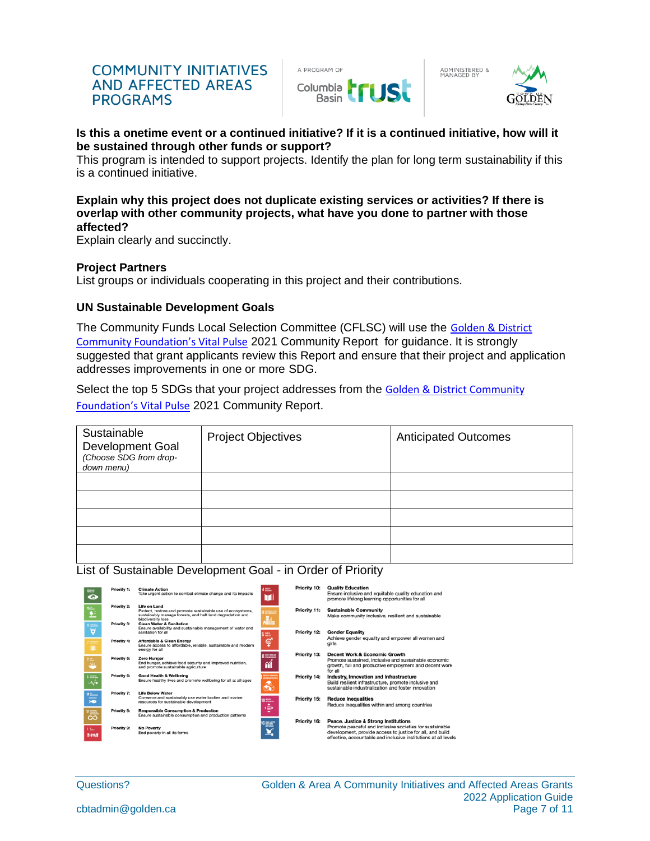

ADMINISTERED &<br>MANAGED BY



#### **Is this a onetime event or a continued initiative? If it is a continued initiative, how will it be sustained through other funds or support?**

This program is intended to support projects. Identify the plan for long term sustainability if this is a continued initiative.

#### **Explain why this project does not duplicate existing services or activities? If there is overlap with other community projects, what have you done to partner with those affected?**

Explain clearly and succinctly.

#### **Project Partners**

List groups or individuals cooperating in this project and their contributions.

#### **UN Sustainable Development Goals**

The Community Funds Local Selection Committee (CFLSC) will use the [Golden](http://www.goldencommunityfoundation.ca/vitalsigns.html) & District Community Foundation's Vital Pulse 2021 Community Report for guidance. It is strongly suggested that grant applicants review this Report and ensure that their project and application addresses improvements in one or more SDG.

Select the top 5 SDGs that your project addresses from the [Golden](http://www.goldencommunityfoundation.ca/vitalsigns.html) & District Community Foundation's Vital Pulse 2021 Community Report.

| Sustainable<br>Development Goal<br>(Choose SDG from drop-<br>down menu) | <b>Project Objectives</b> | <b>Anticipated Outcomes</b> |
|-------------------------------------------------------------------------|---------------------------|-----------------------------|
|                                                                         |                           |                             |
|                                                                         |                           |                             |
|                                                                         |                           |                             |
|                                                                         |                           |                             |
|                                                                         |                           |                             |

#### List of Sustainable Development Goal - in Order of Priority

| ment of<br>$\bf{ \circ }$ | Priority 1:                       | <b>Climate Action</b><br>Take urgent action to combat climate change and its impacts                                                                             | 4.000.                                      | Priority 10: | <b>Quality Education</b><br>Ensure inclusive and equitable quality education and<br>promote lifelong learning opportunities for all                                                                                              |
|---------------------------|-----------------------------------|------------------------------------------------------------------------------------------------------------------------------------------------------------------|---------------------------------------------|--------------|----------------------------------------------------------------------------------------------------------------------------------------------------------------------------------------------------------------------------------|
| Ľ                         | Priority 2:                       | Life on Land<br>Protect, restore and promote sustainable use of ecosystems,<br>sustainably manage forests, and halt land degradation and<br>biodiversity loss    | <b>State</b><br>.M                          | Priority 11: | <b>Sustainable Community</b><br>Make community inclusive, resilient and sustainable                                                                                                                                              |
| <b>STAR</b><br>þ,         | <b>Priority 3:</b><br>Priority 4: | <b>Clean Water &amp; Sanitation</b><br>Ensure availability and sustainable management of water and<br>sanitation for all<br><b>Affordable &amp; Clean Energy</b> | 5 .<br>$\bullet$                            | Priority 12: | <b>Gender Equality</b><br>Achieve gender equality and empower all women and                                                                                                                                                      |
| $\ddot{\bullet}$          |                                   | Ensure access to affordable, reliable, sustainable and modern<br>energy for all                                                                                  | 8 202205                                    | Priority 13: | girls<br>Decent Work & Economic Growth                                                                                                                                                                                           |
| m.                        | <b>Priority 5:</b>                | Zero Hunger<br>End hunger, achieve food security and improved nutrition,<br>and promote sustainable agriculture                                                  | ñÍ                                          |              | Promote sustained, inclusive and sustainable economic<br>growth, full and productive employment and decent work<br>for all                                                                                                       |
| mm.<br>-∿⁄÷               | Priority 6:                       | <b>Good Health &amp; Wellbeing</b><br>Ensure healthy lives and promote wellbeing for all at all ages                                                             | <b>MATCH MONTH</b><br><b>DIRMITACS</b><br>♣ | Priority 14: | Industry, Innovation and Infrastructure<br>Build resilient infrastructure, promote inclusive and<br>sustainable industrialization and foster innovation                                                                          |
| <b>Electric</b><br>道      | Priority 7:                       | <b>Life Below Water</b><br>Conserve and sustainably use water bodies and marine<br>resources for sustainable development                                         | 0.00000<br>٠                                | Priority 15: | <b>Reduce Inequalities</b><br>Reduce inequalities within and among countries                                                                                                                                                     |
| క్షి                      | <b>Priority 8:</b>                | <b>Responsible Consumption &amp; Production</b><br>Ensure sustainable consumption and production patterns                                                        | œ<br>۰                                      |              |                                                                                                                                                                                                                                  |
| there<br>wa               | Priority 9:                       | <b>No Poverty</b><br>End poverty in all its forms                                                                                                                | e and the second state.                     | Priority 16: | Peace, Justice & Strong Institutions<br>Promote peaceful and inclusive societies for sustainable<br>development, provide access to justice for all, and build<br>effective, accountable and inclusive institutions at all levels |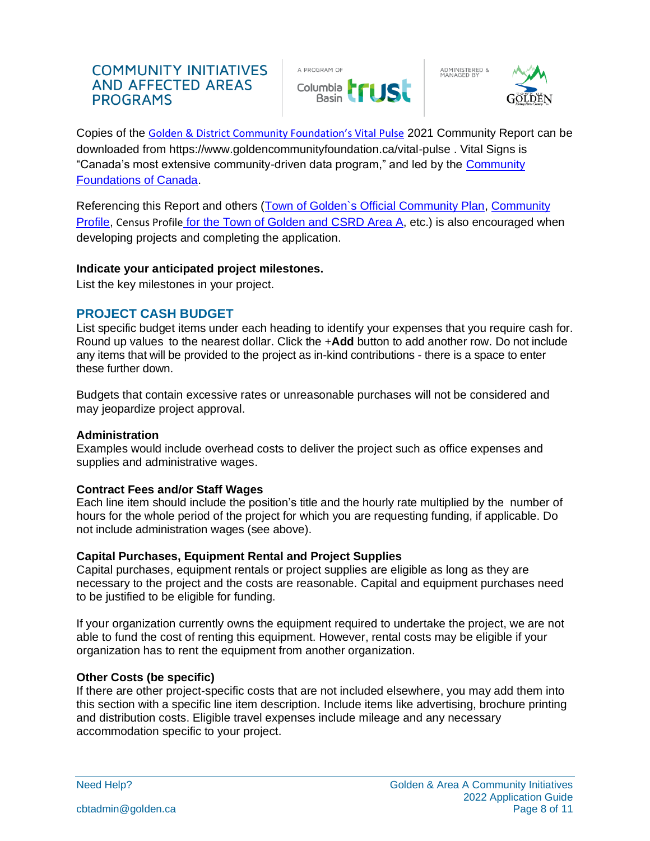

ADMINISTERED &<br>MANAGED BY



Copies of the [Golden](http://www.goldencommunityfoundation.ca/vitalsigns.html) & District Community Foundation's Vital Pulse 2021 Community Report can be downloaded from https://www.goldencommunityfoundation.ca/vital-pulse . Vital Signs is "Canada's most extensive community-driven data program," and led by the [Community](https://www.communityfoundations.ca/initiatives/vital-signs/)  [Foundations of Canada.](https://www.communityfoundations.ca/initiatives/vital-signs/)

Referencing this Report and others [\(Town of Golden`s Official Community Plan,](http://www.golden.ca/Departments/Development-Services/Planning-and-Development.aspx) [Community](https://imaginekootenay.com/community/golden-bc/)  [Profile,](https://imaginekootenay.com/community/golden-bc/) Census Profile for the [Town of Golden](https://www12.statcan.gc.ca/census-recensement/2016/dp-pd/prof/details/page.cfm?Lang=E&Geo1=POPC&Code1=0326&Geo2=PR&Code2=59&SearchText=Golden&SearchType=Begins&SearchPR=01&B1=All&GeoLevel=PR&GeoCode=0326&TABID=1&type=0) and [CSRD Area A,](https://www12.statcan.gc.ca/census-recensement/2016/dp-pd/prof/details/Page.cfm?Lang=E&Geo1=CSD&Code1=5939011&Geo2=PR&Code2=59&SearchText=Columbia%20Shuswap%20Regional%20District&SearchType=Begins&SearchPR=01&B1=All&type=0) etc.) is also encouraged when developing projects and completing the application.

### **Indicate your anticipated project milestones.**

List the key milestones in your project.

# **PROJECT CASH BUDGET**

List specific budget items under each heading to identify your expenses that you require cash for. Round up values to the nearest dollar. Click the +**Add** button to add another row. Do not include any items that will be provided to the project as in-kind contributions - there is a space to enter these further down.

Budgets that contain excessive rates or unreasonable purchases will not be considered and may jeopardize project approval.

### **Administration**

Examples would include overhead costs to deliver the project such as office expenses and supplies and administrative wages.

### **Contract Fees and/or Staff Wages**

Each line item should include the position's title and the hourly rate multiplied by the number of hours for the whole period of the project for which you are requesting funding, if applicable. Do not include administration wages (see above).

# **Capital Purchases, Equipment Rental and Project Supplies**

Capital purchases, equipment rentals or project supplies are eligible as long as they are necessary to the project and the costs are reasonable. Capital and equipment purchases need to be justified to be eligible for funding.

If your organization currently owns the equipment required to undertake the project, we are not able to fund the cost of renting this equipment. However, rental costs may be eligible if your organization has to rent the equipment from another organization.

# **Other Costs (be specific)**

If there are other project-specific costs that are not included elsewhere, you may add them into this section with a specific line item description. Include items like advertising, brochure printing and distribution costs. Eligible travel expenses include mileage and any necessary accommodation specific to your project.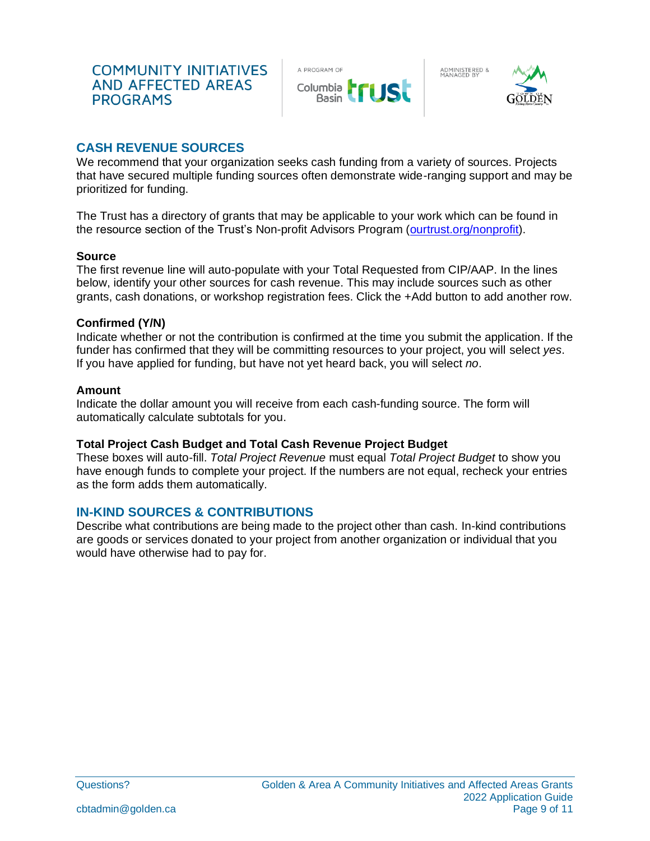

ADMINISTERED &<br>MANAGED BY



# **CASH REVENUE SOURCES**

We recommend that your organization seeks cash funding from a variety of sources. Projects that have secured multiple funding sources often demonstrate wide-ranging support and may be prioritized for funding.

The Trust has a directory of grants that may be applicable to your work which can be found in the resource section of the Trust's Non-profit Advisors Program [\(ourtrust.org/nonprofit\)](https://ourtrust.org/our-work/community/non-profit-advisors-program/).

#### **Source**

The first revenue line will auto-populate with your Total Requested from CIP/AAP. In the lines below, identify your other sources for cash revenue. This may include sources such as other grants, cash donations, or workshop registration fees. Click the +Add button to add another row.

#### **Confirmed (Y/N)**

Indicate whether or not the contribution is confirmed at the time you submit the application. If the funder has confirmed that they will be committing resources to your project, you will select *yes*. If you have applied for funding, but have not yet heard back, you will select *no*.

#### **Amount**

Indicate the dollar amount you will receive from each cash-funding source. The form will automatically calculate subtotals for you.

### **Total Project Cash Budget and Total Cash Revenue Project Budget**

These boxes will auto-fill. *Total Project Revenue* must equal *Total Project Budget* to show you have enough funds to complete your project. If the numbers are not equal, recheck your entries as the form adds them automatically.

# **IN-KIND SOURCES & CONTRIBUTIONS**

Describe what contributions are being made to the project other than cash. In-kind contributions are goods or services donated to your project from another organization or individual that you would have otherwise had to pay for.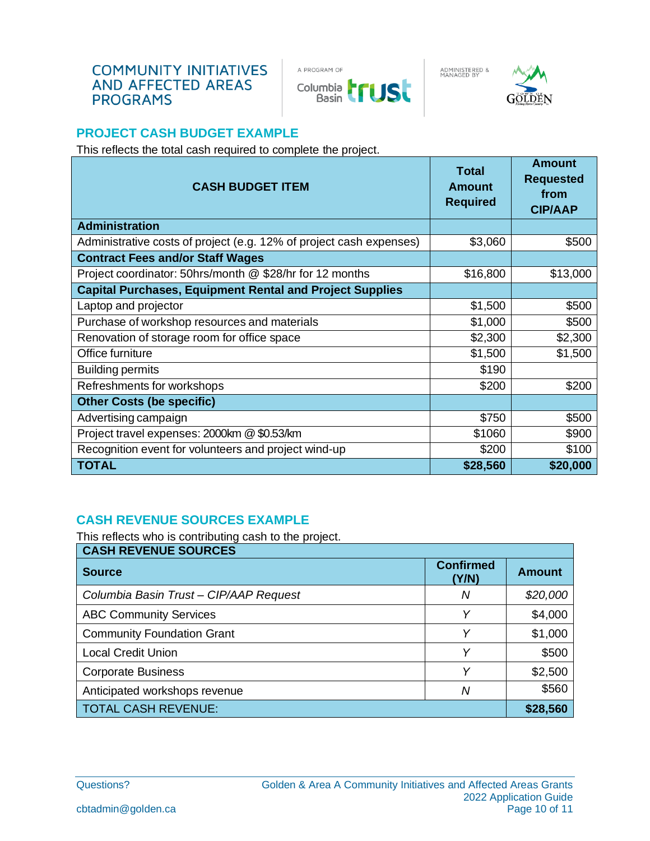

ADMINISTERED &<br>MANAGED BY



# **PROJECT CASH BUDGET EXAMPLE**

This reflects the total cash required to complete the project.

| <b>CASH BUDGET ITEM</b>                                             | Total<br><b>Amount</b><br><b>Required</b> | <b>Amount</b><br><b>Requested</b><br>from<br><b>CIP/AAP</b> |
|---------------------------------------------------------------------|-------------------------------------------|-------------------------------------------------------------|
| <b>Administration</b>                                               |                                           |                                                             |
| Administrative costs of project (e.g. 12% of project cash expenses) | \$3,060                                   | \$500                                                       |
| <b>Contract Fees and/or Staff Wages</b>                             |                                           |                                                             |
| Project coordinator: 50hrs/month @ \$28/hr for 12 months            | \$16,800                                  | \$13,000                                                    |
| <b>Capital Purchases, Equipment Rental and Project Supplies</b>     |                                           |                                                             |
| Laptop and projector                                                | \$1,500                                   | \$500                                                       |
| Purchase of workshop resources and materials                        | \$1,000                                   | \$500                                                       |
| Renovation of storage room for office space                         | \$2,300                                   | \$2,300                                                     |
| Office furniture                                                    | \$1,500                                   | \$1,500                                                     |
| <b>Building permits</b>                                             | \$190                                     |                                                             |
| Refreshments for workshops                                          | \$200                                     | \$200                                                       |
| <b>Other Costs (be specific)</b>                                    |                                           |                                                             |
| Advertising campaign                                                | \$750                                     | \$500                                                       |
| Project travel expenses: 2000km @ \$0.53/km                         | \$1060                                    | \$900                                                       |
| Recognition event for volunteers and project wind-up                | \$200                                     | \$100                                                       |
| <b>TOTAL</b>                                                        | \$28,560                                  | \$20,000                                                    |

# **CASH REVENUE SOURCES EXAMPLE**

This reflects who is contributing cash to the project.

| <b>CASH REVENUE SOURCES</b>            |                           |               |  |  |
|----------------------------------------|---------------------------|---------------|--|--|
| <b>Source</b>                          | <b>Confirmed</b><br>(Y/N) | <b>Amount</b> |  |  |
| Columbia Basin Trust - CIP/AAP Request | Ν                         | \$20,000      |  |  |
| <b>ABC Community Services</b>          | Υ                         | \$4,000       |  |  |
| <b>Community Foundation Grant</b>      | Υ                         | \$1,000       |  |  |
| <b>Local Credit Union</b>              | v                         | \$500         |  |  |
| <b>Corporate Business</b>              | Υ                         | \$2,500       |  |  |
| Anticipated workshops revenue          | Ν                         | \$560         |  |  |
| <b>TOTAL CASH REVENUE:</b>             |                           | \$28,560      |  |  |